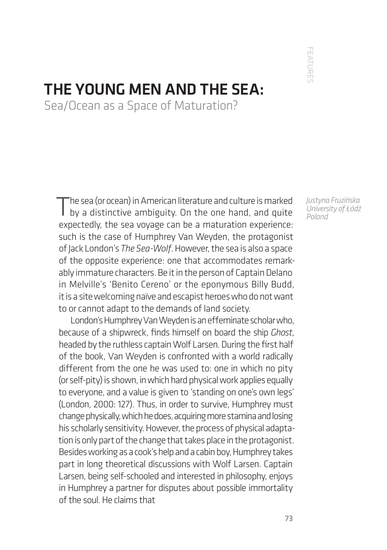FEATURE' FEATURES

## THE YOUNG MEN AND THE SEA:

Sea/Ocean as a Space of Maturation?

The sea (or ocean) in American literature and culture is marked<br>by a distinctive ambiguity. On the one hand, and quite expectedly, the sea voyage can be a maturation experience: such is the case of Humphrey Van Weyden, the protagonist of Jack London's *The Sea-Wolf*. However, the sea is also a space of the opposite experience: one that accommodates remarkably immature characters. Be it in the person of Captain Delano in Melville's 'Benito Cereno' or the eponymous Billy Budd, it is a site welcoming naïve and escapist heroes who do not want to or cannot adapt to the demands of land society.

London's Humphrey Van Weyden is an effeminate scholar who, because of a shipwreck, finds himself on board the ship *Ghost*, headed by the ruthless captain Wolf Larsen. During the first half of the book, Van Weyden is confronted with a world radically different from the one he was used to: one in which no pity (or self-pity) is shown, in which hard physical work applies equally to everyone, and a value is given to 'standing on one's own legs' (London, 2000: 127). Thus, in order to survive, Humphrey must change physically, which he does, acquiring more stamina and losing his scholarly sensitivity. However, the process of physical adaptation is only part of the change that takes place in the protagonist. Besides working as a cook's help and a cabin boy, Humphrey takes part in long theoretical discussions with Wolf Larsen. Captain Larsen, being self-schooled and interested in philosophy, enjoys in Humphrey a partner for disputes about possible immortality of the soul. He claims that

*Justyna Fruzińska University of Łódź Poland*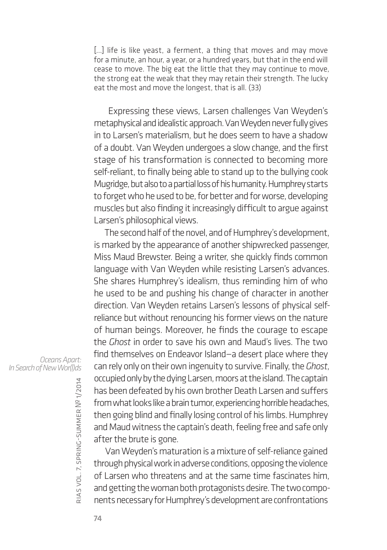[...] life is like yeast, a ferment, a thing that moves and may move for a minute, an hour, a year, or a hundred years, but that in the end will cease to move. The big eat the little that they may continue to move, the strong eat the weak that they may retain their strength. The lucky eat the most and move the longest, that is all. (33)

 Expressing these views, Larsen challenges Van Weyden's metaphysical and idealistic approach. Van Weyden never fully gives in to Larsen's materialism, but he does seem to have a shadow of a doubt. Van Weyden undergoes a slow change, and the first stage of his transformation is connected to becoming more self-reliant, to finally being able to stand up to the bullying cook Mugridge, but also to a partial loss of his humanity. Humphrey starts to forget who he used to be, for better and for worse, developing muscles but also finding it increasingly difficult to argue against Larsen's philosophical views.

The second half of the novel, and of Humphrey's development, is marked by the appearance of another shipwrecked passenger, Miss Maud Brewster. Being a writer, she quickly finds common language with Van Weyden while resisting Larsen's advances. She shares Humphrey's idealism, thus reminding him of who he used to be and pushing his change of character in another direction. Van Weyden retains Larsen's lessons of physical selfreliance but without renouncing his former views on the nature of human beings. Moreover, he finds the courage to escape the *Ghost* in order to save his own and Maud's lives. The two find themselves on Endeavor Island—a desert place where they can rely only on their own ingenuity to survive. Finally, the *Ghost*, occupied only by the dying Larsen, moors at the island. The captain has been defeated by his own brother Death Larsen and suffers from what looks like a brain tumor, experiencing horrible headaches, then going blind and finally losing control of his limbs. Humphrey and Maud witness the captain's death, feeling free and safe only after the brute is gone.

Van Weyden's maturation is a mixture of self-reliance gained through physical work in adverse conditions, opposing the violence of Larsen who threatens and at the same time fascinates him, and getting the woman both protagonists desire. The two components necessary for Humphrey's development are confrontations

*Oceans Apart: In Search of New Wor(l)ds*

rias

vol. 7, spring-summer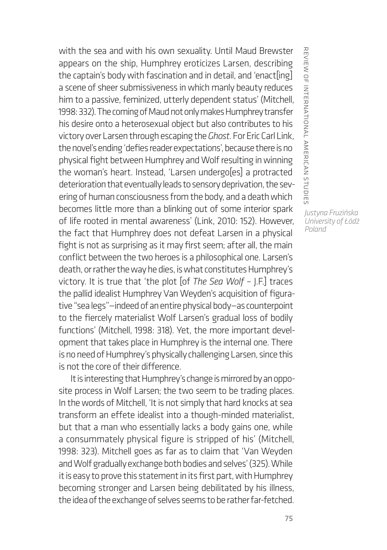with the sea and with his own sexuality. Until Maud Brewster appears on the ship, Humphrey eroticizes Larsen, describing the captain's body with fascination and in detail, and 'enact[ing] a scene of sheer submissiveness in which manly beauty reduces him to a passive, feminized, utterly dependent status' (Mitchell, 1998: 332). The coming of Maud not only makes Humphrey transfer his desire onto a heterosexual object but also contributes to his victory over Larsen through escaping the *Ghost*. For Eric Carl Link, the novel's ending 'defies reader expectations', because there is no physical fight between Humphrey and Wolf resulting in winning the woman's heart. Instead, 'Larsen undergo[es] a protracted deterioration that eventually leads to sensory deprivation, the severing of human consciousness from the body, and a death which becomes little more than a blinking out of some interior spark of life rooted in mental awareness' (Link, 2010: 152). However, the fact that Humphrey does not defeat Larsen in a physical fight is not as surprising as it may first seem; after all, the main conflict between the two heroes is a philosophical one. Larsen's death, or rather the way he dies, is what constitutes Humphrey's victory. It is true that 'the plot [of *The Sea Wolf* – J.F.] traces the pallid idealist Humphrey Van Weyden's acquisition of figurative "sea legs"—indeed of an entire physical body—as counterpoint to the fiercely materialist Wolf Larsen's gradual loss of bodily functions' (Mitchell, 1998: 318). Yet, the more important development that takes place in Humphrey is the internal one. There is no need of Humphrey's physically challenging Larsen, since this is not the core of their difference.

It is interesting that Humphrey's change is mirrored by an opposite process in Wolf Larsen; the two seem to be trading places. In the words of Mitchell, 'It is not simply that hard knocks at sea transform an effete idealist into a though-minded materialist, but that a man who essentially lacks a body gains one, while a consummately physical figure is stripped of his' (Mitchell, 1998: 323). Mitchell goes as far as to claim that 'Van Weyden and Wolf gradually exchange both bodies and selves' (325). While it is easy to prove this statement in its first part, with Humphrey becoming stronger and Larsen being debilitated by his illness, the idea of the exchange of selves seems to be rather far-fetched. REVIEW OF INTERNATIONAL AMERICAN STUDIE: review of international american studies *Justyna Fruzińska*

*University of Łódź Poland*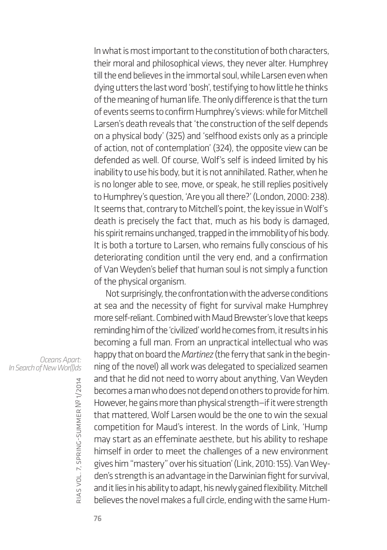In what is most important to the constitution of both characters, their moral and philosophical views, they never alter. Humphrey till the end believes in the immortal soul, while Larsen even when dying utters the last word 'bosh', testifying to how little he thinks of the meaning of human life. The only difference is that the turn of events seems to confirm Humphrey's views: while for Mitchell Larsen's death reveals that 'the construction of the self depends on a physical body' (325) and 'selfhood exists only as a principle of action, not of contemplation' (324), the opposite view can be defended as well. Of course, Wolf's self is indeed limited by his inability to use his body, but it is not annihilated. Rather, when he is no longer able to see, move, or speak, he still replies positively to Humphrey's question, 'Are you all there?' (London, 2000: 238). It seems that, contrary to Mitchell's point, the key issue in Wolf's death is precisely the fact that, much as his body is damaged, his spirit remains unchanged, trapped in the immobility of his body. It is both a torture to Larsen, who remains fully conscious of his deteriorating condition until the very end, and a confirmation of Van Weyden's belief that human soul is not simply a function of the physical organism.

Not surprisingly, the confrontation with the adverse conditions at sea and the necessity of fight for survival make Humphrey more self-reliant. Combined with Maud Brewster's love that keeps reminding him of the 'civilized' world he comes from, it results in his becoming a full man. From an unpractical intellectual who was happy that on board the *Martinez* (the ferry that sank in the beginning of the novel) all work was delegated to specialized seamen and that he did not need to worry about anything, Van Weyden becomes a man who does not depend on others to provide for him. However, he gains more than physical strength—if it were strength that mattered, Wolf Larsen would be the one to win the sexual competition for Maud's interest. In the words of Link, 'Hump may start as an effeminate aesthete, but his ability to reshape himself in order to meet the challenges of a new environment gives him "mastery" over his situation' (Link, 2010: 155). Van Weyden's strength is an advantage in the Darwinian fight for survival, and it lies in his ability to adapt, his newly gained flexibility. Mitchell believes the novel makes a full circle, ending with the same Hum-

*Oceans Apart: In Search of New Wor(l)ds*

rias

vol. 7, spring-summer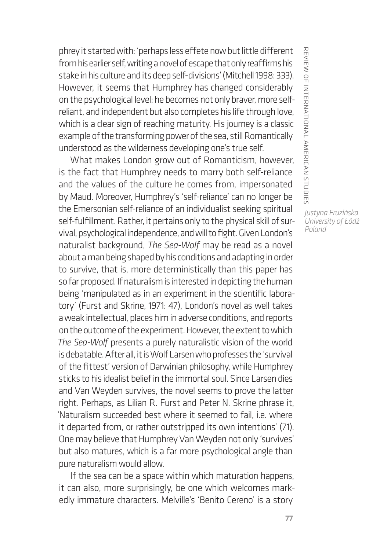phrey it started with: 'perhaps less effete now but little different from his earlier self, writing a novel of escape that only reaffirms his stake in his culture and its deep self-divisions' (Mitchell 1998: 333). However, it seems that Humphrey has changed considerably on the psychological level: he becomes not only braver, more selfreliant, and independent but also completes his life through love, which is a clear sign of reaching maturity. His journey is a classic example of the transforming power of the sea, still Romantically understood as the wilderness developing one's true self.

What makes London grow out of Romanticism, however, is the fact that Humphrey needs to marry both self-reliance and the values of the culture he comes from, impersonated by Maud. Moreover, Humphrey's 'self-reliance' can no longer be the Emersonian self-reliance of an individualist seeking spiritual self-fulfillment. Rather, it pertains only to the physical skill of survival, psychological independence, and will to fight. Given London's naturalist background, *The Sea-Wolf* may be read as a novel about a man being shaped by his conditions and adapting in order to survive, that is, more deterministically than this paper has so far proposed. If naturalism is interested in depicting the human being 'manipulated as in an experiment in the scientific laboratory' (Furst and Skrine, 1971: 47), London's novel as well takes a weak intellectual, places him in adverse conditions, and reports on the outcome of the experiment. However, the extent to which *The Sea-Wolf* presents a purely naturalistic vision of the world is debatable. After all, it is Wolf Larsen who professes the 'survival of the fittest' version of Darwinian philosophy, while Humphrey sticks to his idealist belief in the immortal soul. Since Larsen dies and Van Weyden survives, the novel seems to prove the latter right. Perhaps, as Lilian R. Furst and Peter N. Skrine phrase it, 'Naturalism succeeded best where it seemed to fail, i.e. where it departed from, or rather outstripped its own intentions' (71). One may believe that Humphrey Van Weyden not only 'survives' but also matures, which is a far more psychological angle than pure naturalism would allow.

If the sea can be a space within which maturation happens, it can also, more surprisingly, be one which welcomes markedly immature characters. Melville's 'Benito Cereno' is a story

REVIEW OF INTERNATIONAL AMERICAN STUDIE: review of international american studies *Justyna Fruzińska University of Łódź*

*Poland*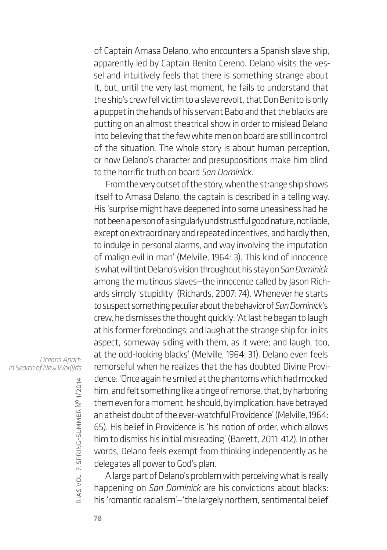of Captain Amasa Delano, who encounters a Spanish slave ship, apparently led by Captain Benito Cereno. Delano visits the vessel and intuitively feels that there is something strange about it, but, until the very last moment, he fails to understand that the ship's crew fell victim to a slave revolt, that Don Benito is only a puppet in the hands of his servant Babo and that the blacks are putting on an almost theatrical show in order to mislead Delano into believing that the few white men on board are still in control of the situation. The whole story is about human perception, or how Delano's character and presuppositions make him blind to the horrific truth on board *San Dominick*.

From the very outset of the story, when the strange ship shows itself to Amasa Delano, the captain is described in a telling way. His 'surprise might have deepened into some uneasiness had he not been a person of a singularly undistrustful good nature, not liable, except on extraordinary and repeated incentives, and hardly then, to indulge in personal alarms, and way involving the imputation of malign evil in man' (Melville, 1964: 3). This kind of innocence is what will tint Delano's vision throughout his stay on *San Dominick* among the mutinous slaves—the innocence called by Jason Richards simply 'stupidity' (Richards, 2007: 74). Whenever he starts to suspect something peculiar about the behavior of *San Dominick*'s crew, he dismisses the thought quickly: 'At last he began to laugh at his former forebodings; and laugh at the strange ship for, in its aspect, someway siding with them, as it were; and laugh, too, at the odd-looking blacks' (Melville, 1964: 31). Delano even feels remorseful when he realizes that the has doubted Divine Providence: 'Once again he smiled at the phantoms which had mocked him, and felt something like a tinge of remorse, that, by harboring them even for a moment, he should, by implication, have betrayed an atheist doubt of the ever-watchful Providence' (Melville, 1964: 65). His belief in Providence is 'his notion of order, which allows him to dismiss his initial misreading' (Barrett, 2011: 412). In other words, Delano feels exempt from thinking independently as he delegates all power to God's plan.

A large part of Delano's problem with perceiving what is really happening on *San Dominick* are his convictions about blacks: his 'romantic racialism'—'the largely northern, sentimental belief

*Oceans Apart: In Search of New Wor(l)ds*

rias

vol. 7, spring-summer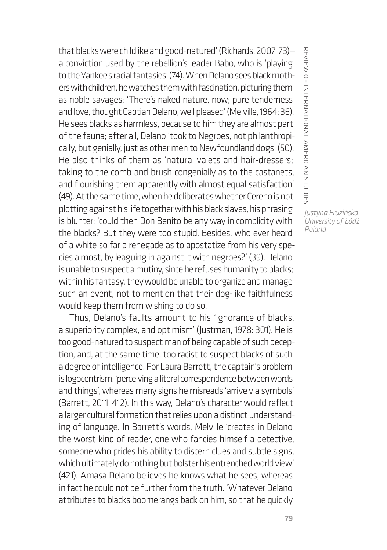that blacks were childlike and good-natured' (Richards, 2007: 73) a conviction used by the rebellion's leader Babo, who is 'playing to the Yankee's racial fantasies' (74). When Delano sees black mothers with children, he watches them with fascination, picturing them as noble savages: 'There's naked nature, now; pure tenderness and love, thought Captian Delano, well pleased' (Melville, 1964: 36). He sees blacks as harmless, because to him they are almost part of the fauna; after all, Delano 'took to Negroes, not philanthropically, but genially, just as other men to Newfoundland dogs' (50). He also thinks of them as 'natural valets and hair-dressers; taking to the comb and brush congenially as to the castanets, and flourishing them apparently with almost equal satisfaction' (49). At the same time, when he deliberates whether Cereno is not plotting against his life together with his black slaves, his phrasing is blunter: 'could then Don Benito be any way in complicity with the blacks? But they were too stupid. Besides, who ever heard of a white so far a renegade as to apostatize from his very species almost, by leaguing in against it with negroes?' (39). Delano is unable to suspect a mutiny, since he refuses humanity to blacks; within his fantasy, they would be unable to organize and manage such an event, not to mention that their dog-like faithfulness would keep them from wishing to do so.

Thus, Delano's faults amount to his 'ignorance of blacks, a superiority complex, and optimism' (Justman, 1978: 301). He is too good-natured to suspect man of being capable of such deception, and, at the same time, too racist to suspect blacks of such a degree of intelligence. For Laura Barrett, the captain's problem is logocentrism: 'perceiving a literal correspondence between words and things', whereas many signs he misreads 'arrive via symbols' (Barrett, 2011: 412). In this way, Delano's character would reflect a larger cultural formation that relies upon a distinct understanding of language. In Barrett's words, Melville 'creates in Delano the worst kind of reader, one who fancies himself a detective, someone who prides his ability to discern clues and subtle signs, which ultimately do nothing but bolster his entrenched world view' (421). Amasa Delano believes he knows what he sees, whereas in fact he could not be further from the truth. 'Whatever Delano attributes to blacks boomerangs back on him, so that he quickly

REVIEW OF INTERNATIONAL AMERICAN STUDIE: review of international american studies *Justyna Fruzińska University of Łódź*

*Poland*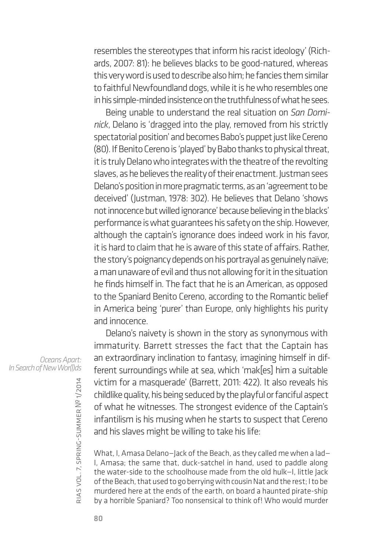resembles the stereotypes that inform his racist ideology' (Richards, 2007: 81): he believes blacks to be good-natured, whereas this very word is used to describe also him; he fancies them similar to faithful Newfoundland dogs, while it is he who resembles one in his simple-minded insistence on the truthfulness of what he sees.

Being unable to understand the real situation on *San Dominick*, Delano is 'dragged into the play, removed from his strictly spectatorial position' and becomes Babo's puppet just like Cereno (80). If Benito Cereno is 'played' by Babo thanks to physical threat, it is truly Delano who integrates with the theatre of the revolting slaves, as he believes the reality of their enactment. Justman sees Delano's position in more pragmatic terms, as an 'agreement to be deceived' (Justman, 1978: 302). He believes that Delano 'shows not innocence but willed ignorance' because believing in the blacks' performance is what guarantees his safety on the ship. However, although the captain's ignorance does indeed work in his favor, it is hard to claim that he is aware of this state of affairs. Rather, the story's poignancy depends on his portrayal as genuinely naïve; a man unaware of evil and thus not allowing for it in the situation he finds himself in. The fact that he is an American, as opposed to the Spaniard Benito Cereno, according to the Romantic belief in America being 'purer' than Europe, only highlights his purity and innocence.

Delano's naivety is shown in the story as synonymous with immaturity. Barrett stresses the fact that the Captain has an extraordinary inclination to fantasy, imagining himself in different surroundings while at sea, which 'mak[es] him a suitable victim for a masquerade' (Barrett, 2011: 422). It also reveals his childlike quality, his being seduced by the playful or fanciful aspect of what he witnesses. The strongest evidence of the Captain's infantilism is his musing when he starts to suspect that Cereno and his slaves might be willing to take his life:

What, I, Amasa Delano—Jack of the Beach, as they called me when a lad— I, Amasa; the same that, duck-satchel in hand, used to paddle along the water-side to the schoolhouse made from the old hulk—I, little Jack of the Beach, that used to go berrying with cousin Nat and the rest; I to be murdered here at the ends of the earth, on board a haunted pirate-ship by a horrible Spaniard? Too nonsensical to think of! Who would murder

*Oceans Apart: In Search of New Wor(l)ds*

rias

vol. 7, spring-summer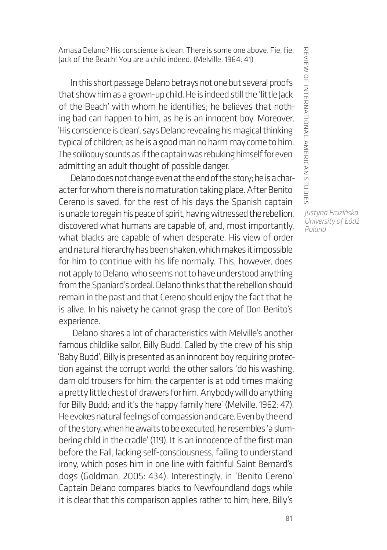Amasa Delano? His conscience is clean. There is some one above. Fie, fie, Jack of the Beach! You are a child indeed. (Melville, 1964: 41)

In this short passage Delano betrays not one but several proofs that show him as a grown-up child. He is indeed still the 'little Jack of the Beach' with whom he identifies; he believes that nothing bad can happen to him, as he is an innocent boy. Moreover, 'His conscience is clean', says Delano revealing his magical thinking typical of children; as he is a good man no harm may come to him. The soliloquy sounds as if the captain was rebuking himself for even admitting an adult thought of possible danger.

Delano does not change even at the end of the story; he is a character for whom there is no maturation taking place. After Benito Cereno is saved, for the rest of his days the Spanish captain is unable to regain his peace of spirit, having witnessed the rebellion, discovered what humans are capable of, and, most importantly, what blacks are capable of when desperate. His view of order and natural hierarchy has been shaken, which makes it impossible for him to continue with his life normally. This, however, does not apply to Delano, who seems not to have understood anything from the Spaniard's ordeal. Delano thinks that the rebellion should remain in the past and that Cereno should enjoy the fact that he is alive. In his naivety he cannot grasp the core of Don Benito's experience.

 Delano shares a lot of characteristics with Melville's another famous childlike sailor, Billy Budd. Called by the crew of his ship 'Baby Budd', Billy is presented as an innocent boy requiring protection against the corrupt world: the other sailors 'do his washing, darn old trousers for him; the carpenter is at odd times making a pretty little chest of drawers for him. Anybody will do anything for Billy Budd; and it's the happy family here' (Melville, 1962: 47). He evokes natural feelings of compassion and care. Even by the end of the story, when he awaits to be executed, he resembles 'a slumbering child in the cradle' (119). It is an innocence of the first man before the Fall, lacking self-consciousness, failing to understand irony, which poses him in one line with faithful Saint Bernard's dogs (Goldman, 2005: 434). Interestingly, in 'Benito Cereno' Captain Delano compares blacks to Newfoundland dogs while it is clear that this comparison applies rather to him; here, Billy's

REVIEW OF INTERNATIONAL AMERICAN STUDIES review of international american studies

*Justyna Fruzińska University of Łódź Poland*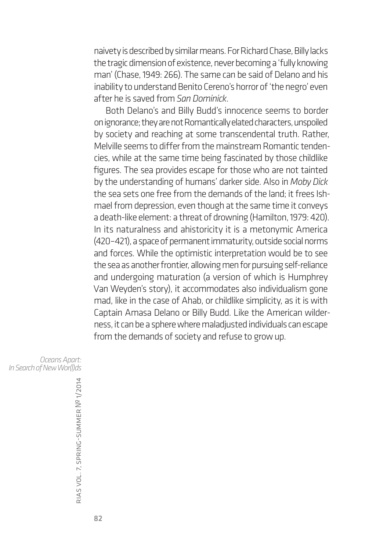naivety is described by similar means. For Richard Chase, Billy lacks the tragic dimension of existence, never becoming a 'fully knowing man' (Chase, 1949: 266). The same can be said of Delano and his inability to understand Benito Cereno's horror of 'the negro' even after he is saved from *San Dominick*.

Both Delano's and Billy Budd's innocence seems to border on ignorance; they are not Romantically elated characters, unspoiled by society and reaching at some transcendental truth. Rather, Melville seems to differ from the mainstream Romantic tendencies, while at the same time being fascinated by those childlike figures. The sea provides escape for those who are not tainted by the understanding of humans' darker side. Also in *Moby Dick*  the sea sets one free from the demands of the land; it frees Ishmael from depression, even though at the same time it conveys a death-like element: a threat of drowning (Hamilton, 1979: 420). In its naturalness and ahistoricity it is a metonymic America (420–421), a space of permanent immaturity, outside social norms and forces. While the optimistic interpretation would be to see the sea as another frontier, allowing men for pursuing self-reliance and undergoing maturation (a version of which is Humphrey Van Weyden's story), it accommodates also individualism gone mad, like in the case of Ahab, or childlike simplicity, as it is with Captain Amasa Delano or Billy Budd. Like the American wilderness, it can be a sphere where maladjusted individuals can escape from the demands of society and refuse to grow up.

*Oceans Apart: In Search of New Wor(l)ds*

rias vol. 7, spring-summer № 1/2014